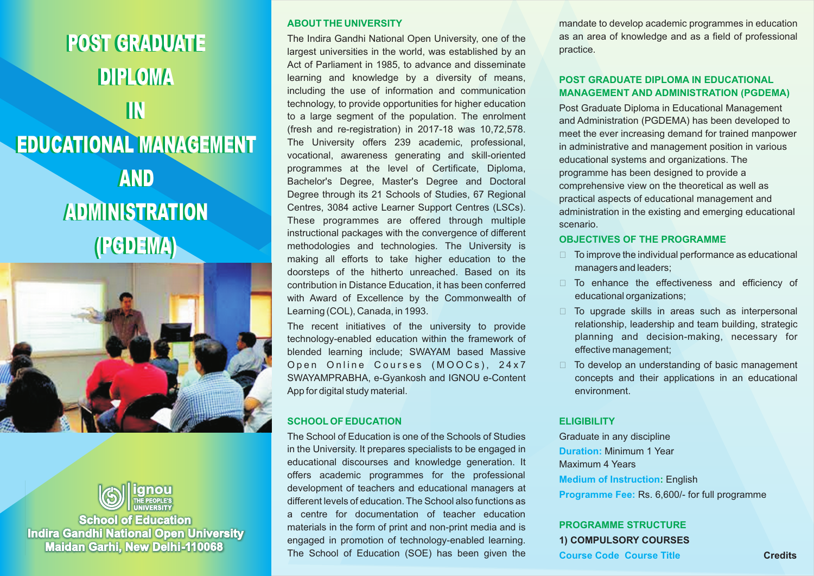POST GRADUATE POST GRADUATE DIPLOMA DIPLOMA IN IN EDUCATIONAL MANAGEMENT EDUCATIONAL MANAGEMENT AND AND ADMINISTRATION (PGDEMA) (PGDEMA)





**School of Education Indira Gandhi National Open University Maidan Garhi, New Delhi-110068** 

#### **ABOUT THE UNIVERSITY**

The Indira Gandhi National Open University, one of the largest universities in the world, was established by an Act of Parliament in 1985, to advance and disseminate learning and knowledge by a diversity of means, including the use of information and communication technology, to provide opportunities for higher education to a large segment of the population. The enrolment (fresh and re-registration) in 2017-18 was 10,72,578. The University offers 239 academic, professional, vocational, awareness generating and skill-oriented programmes at the level of Certificate, Diploma, Bachelor's Degree, Master's Degree and Doctoral Degree through its 21 Schools of Studies, 67 Regional Centres, 3084 active Learner Support Centres (LSCs). These programmes are offered through multiple instructional packages with the convergence of different methodologies and technologies. The University is making all efforts to take higher education to the doorsteps of the hitherto unreached. Based on its contribution in Distance Education, it has been conferred with Award of Excellence by the Commonwealth of Learning (COL), Canada, in 1993.

The recent initiatives of the university to provide technology-enabled education within the framework of blended learning include; SWAYAM based Massive Open Online Courses (MOOCs), 24x7 SWAYAMPRABHA, e-Gyankosh and IGNOU e-Content App for digital study material.

#### **SCHOOLOF EDUCATION**

The School of Education is one of the Schools of Studies in the University. It prepares specialists to be engaged in educational discourses and knowledge generation. It offers academic programmes for the professional development of teachers and educational managers at different levels of education. The School also functions as a centre for documentation of teacher education materials in the form of print and non-print media and is engaged in promotion of technology-enabled learning. The School of Education (SOE) has been given the

mandate to develop academic programmes in education as an area of knowledge and as a field of professional practice.

#### **POST GRADUATE DIPLOMA IN EDUCATIONAL MANAGEMENT AND ADMINISTRATION (PGDEMA)**

Post Graduate Diploma in Educational Management and Administration (PGDEMA) has been developed to meet the ever increasing demand for trained manpower in administrative and management position in various educational systems and organizations. The programme has been designed to provide a comprehensive view on the theoretical as well as practical aspects of educational management and administration in the existing and emerging educational scenario.

#### **OBJECTIVES OF THE PROGRAMME**

- $\Box$  To improve the individual performance as educational managers and leaders;
- $\Box$  To enhance the effectiveness and efficiency of educational organizations;
- $\Box$  To upgrade skills in areas such as interpersonal relationship, leadership and team building, strategic planning and decision-making, necessary for effective management;
- $\Box$  To develop an understanding of basic management concepts and their applications in an educational environment.

#### **ELIGIBILITY**

Graduate in any discipline **Duration: Minimum 1 Year** Maximum 4 Years **Medium of Instruction: English Programme Fee: Rs. 6,600/- for full programme** 

### **1) COMPULSORY COURSES PROGRAMME STRUCTURE**

**Course Code Course Title**